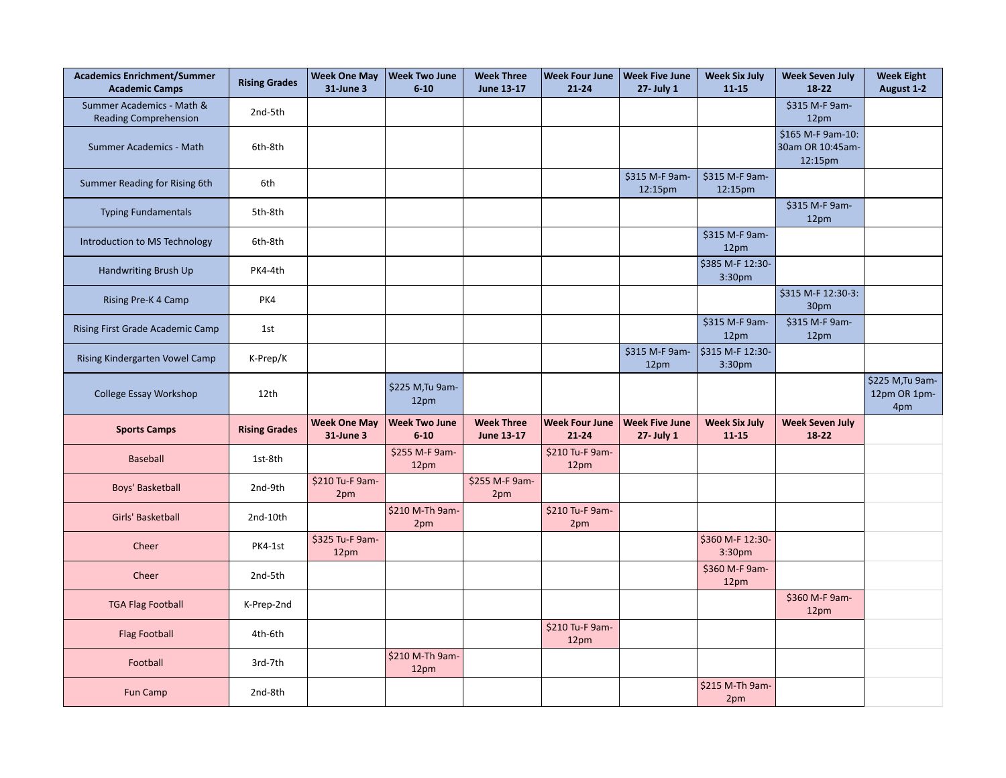| <b>Academics Enrichment/Summer</b><br><b>Academic Camps</b> | <b>Rising Grades</b> | <b>Week One May</b><br>31-June 3 | <b>Week Two June</b><br>$6 - 10$ | <b>Week Three</b><br>June 13-17        | <b>Week Four June</b><br>$21 - 24$ | <b>Week Five June</b><br>27- July 1 | <b>Week Six July</b><br>$11 - 15$      | <b>Week Seven July</b><br>$18-22$                | <b>Week Eight</b><br>August 1-2         |
|-------------------------------------------------------------|----------------------|----------------------------------|----------------------------------|----------------------------------------|------------------------------------|-------------------------------------|----------------------------------------|--------------------------------------------------|-----------------------------------------|
| Summer Academics - Math &<br><b>Reading Comprehension</b>   | 2nd-5th              |                                  |                                  |                                        |                                    |                                     |                                        | \$315 M-F 9am-<br>12pm                           |                                         |
| Summer Academics - Math                                     | 6th-8th              |                                  |                                  |                                        |                                    |                                     |                                        | \$165 M-F 9am-10:<br>30am OR 10:45am-<br>12:15pm |                                         |
| Summer Reading for Rising 6th                               | 6th                  |                                  |                                  |                                        |                                    | \$315 M-F 9am-<br>12:15pm           | \$315 M-F 9am-<br>12:15pm              |                                                  |                                         |
| <b>Typing Fundamentals</b>                                  | 5th-8th              |                                  |                                  |                                        |                                    |                                     |                                        | \$315 M-F 9am-<br>12pm                           |                                         |
| Introduction to MS Technology                               | 6th-8th              |                                  |                                  |                                        |                                    |                                     | \$315 M-F 9am-<br>12pm                 |                                                  |                                         |
| Handwriting Brush Up                                        | PK4-4th              |                                  |                                  |                                        |                                    |                                     | \$385 M-F 12:30-<br>3:30pm             |                                                  |                                         |
| Rising Pre-K 4 Camp                                         | PK4                  |                                  |                                  |                                        |                                    |                                     |                                        | \$315 M-F 12:30-3:<br>30pm                       |                                         |
| Rising First Grade Academic Camp                            | 1st                  |                                  |                                  |                                        |                                    |                                     | \$315 M-F 9am-<br>12pm                 | \$315 M-F 9am-<br>12pm                           |                                         |
| Rising Kindergarten Vowel Camp                              | K-Prep/K             |                                  |                                  |                                        |                                    | \$315 M-F 9am-<br>12pm              | \$315 M-F 12:30-<br>3:30 <sub>pm</sub> |                                                  |                                         |
| College Essay Workshop                                      | 12th                 |                                  | \$225 M, Tu 9am-<br>12pm         |                                        |                                    |                                     |                                        |                                                  | \$225 M, Tu 9am-<br>12pm OR 1pm-<br>4pm |
| <b>Sports Camps</b>                                         | <b>Rising Grades</b> | <b>Week One May</b><br>31-June 3 | <b>Week Two June</b><br>$6 - 10$ | <b>Week Three</b><br><b>June 13-17</b> | <b>Week Four June</b><br>$21 - 24$ | <b>Week Five June</b><br>27- July 1 | <b>Week Six July</b><br>$11 - 15$      | <b>Week Seven July</b><br>$18-22$                |                                         |
| <b>Baseball</b>                                             | 1st-8th              |                                  | \$255 M-F 9am-<br>12pm           |                                        | \$210 Tu-F 9am-<br>12pm            |                                     |                                        |                                                  |                                         |
| Boys' Basketball                                            | 2nd-9th              | \$210 Tu-F 9am-<br>2pm           |                                  | \$255 M-F 9am-<br>2pm                  |                                    |                                     |                                        |                                                  |                                         |
| Girls' Basketball                                           | 2nd-10th             |                                  | \$210 M-Th 9am-<br>2pm           |                                        | \$210 Tu-F 9am-<br>2pm             |                                     |                                        |                                                  |                                         |
| Cheer                                                       | PK4-1st              | \$325 Tu-F 9am-<br>12pm          |                                  |                                        |                                    |                                     | \$360 M-F 12:30-<br>3:30 <sub>pm</sub> |                                                  |                                         |
| Cheer                                                       | 2nd-5th              |                                  |                                  |                                        |                                    |                                     | \$360 M-F 9am-<br>12pm                 |                                                  |                                         |
| <b>TGA Flag Football</b>                                    | K-Prep-2nd           |                                  |                                  |                                        |                                    |                                     |                                        | \$360 M-F 9am-<br>12pm                           |                                         |
| <b>Flag Football</b>                                        | 4th-6th              |                                  |                                  |                                        | \$210 Tu-F 9am-<br>12pm            |                                     |                                        |                                                  |                                         |
| Football                                                    | 3rd-7th              |                                  | \$210 M-Th 9am-<br>12pm          |                                        |                                    |                                     |                                        |                                                  |                                         |
| Fun Camp                                                    | 2nd-8th              |                                  |                                  |                                        |                                    |                                     | \$215 M-Th 9am-<br>2pm                 |                                                  |                                         |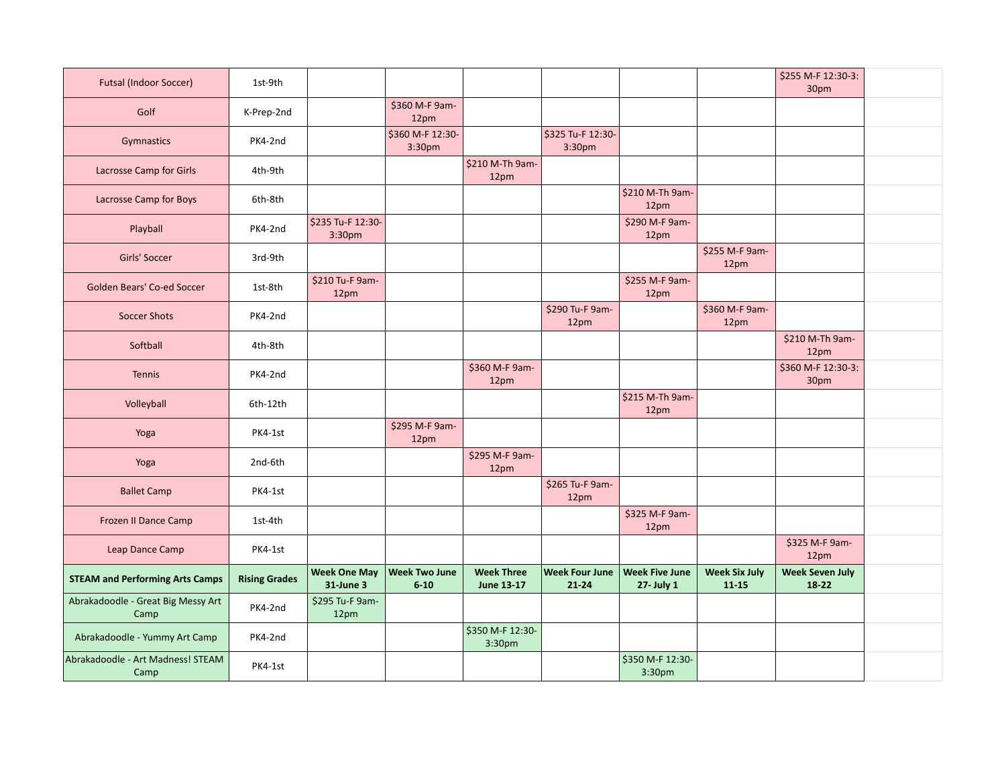| <b>Futsal (Indoor Soccer)</b>              | 1st-9th              |                                         |                                  |                                        |                                    |                                     |                                   | \$255 M-F 12:30-3:<br>30pm        |  |
|--------------------------------------------|----------------------|-----------------------------------------|----------------------------------|----------------------------------------|------------------------------------|-------------------------------------|-----------------------------------|-----------------------------------|--|
| Golf                                       | K-Prep-2nd           |                                         | \$360 M-F 9am-<br>12pm           |                                        |                                    |                                     |                                   |                                   |  |
| Gymnastics                                 | PK4-2nd              |                                         | \$360 M-F 12:30-<br>3:30pm       |                                        | \$325 Tu-F 12:30-<br>3:30pm        |                                     |                                   |                                   |  |
| Lacrosse Camp for Girls                    | 4th-9th              |                                         |                                  | \$210 M-Th 9am-<br>12pm                |                                    |                                     |                                   |                                   |  |
| Lacrosse Camp for Boys                     | 6th-8th              |                                         |                                  |                                        |                                    | \$210 M-Th 9am-<br>12pm             |                                   |                                   |  |
| Playball                                   | PK4-2nd              | \$235 Tu-F 12:30-<br>3:30 <sub>pm</sub> |                                  |                                        |                                    | \$290 M-F 9am-<br>12pm              |                                   |                                   |  |
| Girls' Soccer                              | 3rd-9th              |                                         |                                  |                                        |                                    |                                     | \$255 M-F 9am-<br>12pm            |                                   |  |
| Golden Bears' Co-ed Soccer                 | 1st-8th              | \$210 Tu-F 9am-<br>12pm                 |                                  |                                        |                                    | \$255 M-F 9am-<br>12pm              |                                   |                                   |  |
| <b>Soccer Shots</b>                        | PK4-2nd              |                                         |                                  |                                        | \$290 Tu-F 9am-<br>12pm            |                                     | \$360 M-F 9am-<br>12pm            |                                   |  |
| Softball                                   | 4th-8th              |                                         |                                  |                                        |                                    |                                     |                                   | \$210 M-Th 9am-<br>12pm           |  |
| Tennis                                     | PK4-2nd              |                                         |                                  | \$360 M-F 9am-<br>12pm                 |                                    |                                     |                                   | \$360 M-F 12:30-3:<br>30pm        |  |
| Volleyball                                 | 6th-12th             |                                         |                                  |                                        |                                    | \$215 M-Th 9am-<br>12pm             |                                   |                                   |  |
| Yoga                                       | PK4-1st              |                                         | \$295 M-F 9am-<br>12pm           |                                        |                                    |                                     |                                   |                                   |  |
| Yoga                                       | 2nd-6th              |                                         |                                  | \$295 M-F 9am-<br>12pm                 |                                    |                                     |                                   |                                   |  |
| <b>Ballet Camp</b>                         | PK4-1st              |                                         |                                  |                                        | \$265 Tu-F 9am-<br>12pm            |                                     |                                   |                                   |  |
| Frozen II Dance Camp                       | 1st-4th              |                                         |                                  |                                        |                                    | \$325 M-F 9am-<br>12pm              |                                   |                                   |  |
| Leap Dance Camp                            | PK4-1st              |                                         |                                  |                                        |                                    |                                     |                                   | \$325 M-F 9am-<br>12pm            |  |
| <b>STEAM and Performing Arts Camps</b>     | <b>Rising Grades</b> | <b>Week One May</b><br>31-June 3        | <b>Week Two June</b><br>$6 - 10$ | <b>Week Three</b><br><b>June 13-17</b> | <b>Week Four June</b><br>$21 - 24$ | <b>Week Five June</b><br>27- July 1 | <b>Week Six July</b><br>$11 - 15$ | <b>Week Seven July</b><br>$18-22$ |  |
| Abrakadoodle - Great Big Messy Art<br>Camp | PK4-2nd              | \$295 Tu-F 9am-<br>12pm                 |                                  |                                        |                                    |                                     |                                   |                                   |  |
| Abrakadoodle - Yummy Art Camp              | PK4-2nd              |                                         |                                  | \$350 M-F 12:30-<br>3:30pm             |                                    |                                     |                                   |                                   |  |
| Abrakadoodle - Art Madness! STEAM<br>Camp  | PK4-1st              |                                         |                                  |                                        |                                    | \$350 M-F 12:30-<br>3:30pm          |                                   |                                   |  |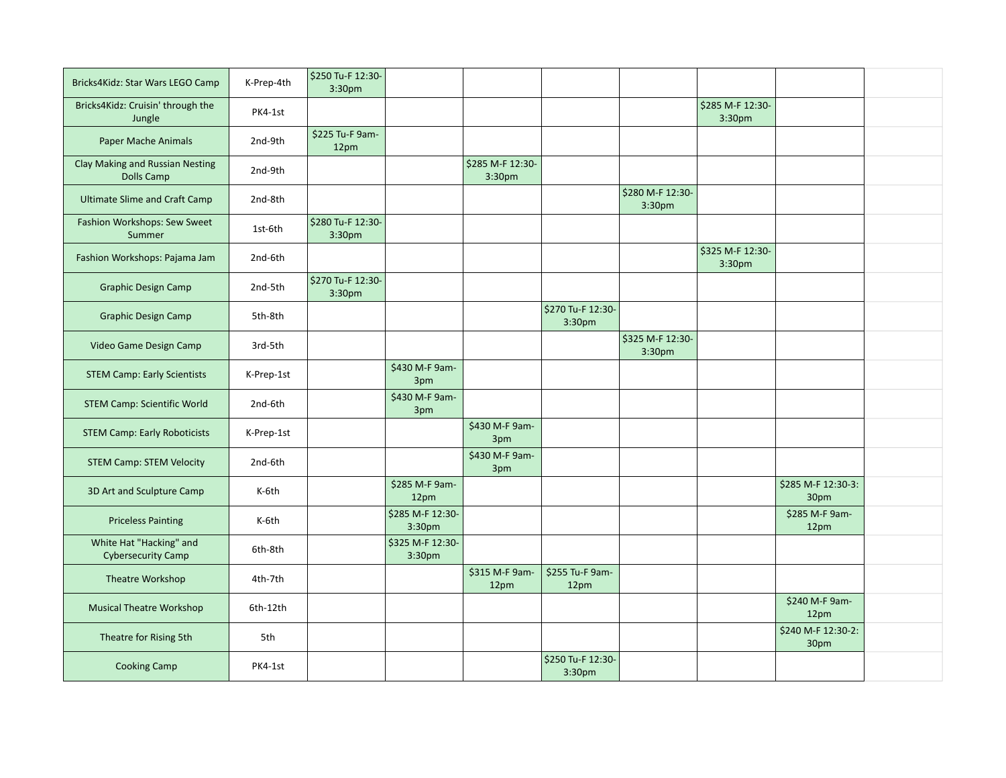| Bricks4Kidz: Star Wars LEGO Camp                     | K-Prep-4th | \$250 Tu-F 12:30-<br>3:30 <sub>pm</sub> |                                        |                                        |                             |                                        |                            |                            |  |
|------------------------------------------------------|------------|-----------------------------------------|----------------------------------------|----------------------------------------|-----------------------------|----------------------------------------|----------------------------|----------------------------|--|
| Bricks4Kidz: Cruisin' through the<br>Jungle          | PK4-1st    |                                         |                                        |                                        |                             |                                        | \$285 M-F 12:30-<br>3:30pm |                            |  |
| Paper Mache Animals                                  | 2nd-9th    | \$225 Tu-F 9am-<br>12pm                 |                                        |                                        |                             |                                        |                            |                            |  |
| Clay Making and Russian Nesting<br><b>Dolls Camp</b> | 2nd-9th    |                                         |                                        | \$285 M-F 12:30-<br>3:30 <sub>pm</sub> |                             |                                        |                            |                            |  |
| <b>Ultimate Slime and Craft Camp</b>                 | 2nd-8th    |                                         |                                        |                                        |                             | \$280 M-F 12:30-<br>3:30 <sub>pm</sub> |                            |                            |  |
| Fashion Workshops: Sew Sweet<br>Summer               | 1st-6th    | \$280 Tu-F 12:30-<br>3:30 <sub>pm</sub> |                                        |                                        |                             |                                        |                            |                            |  |
| Fashion Workshops: Pajama Jam                        | 2nd-6th    |                                         |                                        |                                        |                             |                                        | \$325 M-F 12:30-<br>3:30pm |                            |  |
| <b>Graphic Design Camp</b>                           | 2nd-5th    | \$270 Tu-F 12:30-<br>3:30pm             |                                        |                                        |                             |                                        |                            |                            |  |
| <b>Graphic Design Camp</b>                           | 5th-8th    |                                         |                                        |                                        | \$270 Tu-F 12:30-<br>3:30pm |                                        |                            |                            |  |
| Video Game Design Camp                               | 3rd-5th    |                                         |                                        |                                        |                             | \$325 M-F 12:30-<br>3:30 <sub>pm</sub> |                            |                            |  |
| <b>STEM Camp: Early Scientists</b>                   | K-Prep-1st |                                         | \$430 M-F 9am-<br>3pm                  |                                        |                             |                                        |                            |                            |  |
| <b>STEM Camp: Scientific World</b>                   | 2nd-6th    |                                         | \$430 M-F 9am-<br>3pm                  |                                        |                             |                                        |                            |                            |  |
| <b>STEM Camp: Early Roboticists</b>                  | K-Prep-1st |                                         |                                        | \$430 M-F 9am-<br>3pm                  |                             |                                        |                            |                            |  |
| <b>STEM Camp: STEM Velocity</b>                      | 2nd-6th    |                                         |                                        | \$430 M-F 9am-<br>3pm                  |                             |                                        |                            |                            |  |
| 3D Art and Sculpture Camp                            | K-6th      |                                         | \$285 M-F 9am-<br>12pm                 |                                        |                             |                                        |                            | \$285 M-F 12:30-3:<br>30pm |  |
| <b>Priceless Painting</b>                            | K-6th      |                                         | \$285 M-F 12:30-<br>3:30 <sub>pm</sub> |                                        |                             |                                        |                            | \$285 M-F 9am-<br>12pm     |  |
| White Hat "Hacking" and<br><b>Cybersecurity Camp</b> | 6th-8th    |                                         | \$325 M-F 12:30-<br>3:30 <sub>pm</sub> |                                        |                             |                                        |                            |                            |  |
| Theatre Workshop                                     | 4th-7th    |                                         |                                        | \$315 M-F 9am-<br>12pm                 | \$255 Tu-F 9am-<br>12pm     |                                        |                            |                            |  |
| <b>Musical Theatre Workshop</b>                      | 6th-12th   |                                         |                                        |                                        |                             |                                        |                            | \$240 M-F 9am-<br>12pm     |  |
| Theatre for Rising 5th                               | 5th        |                                         |                                        |                                        |                             |                                        |                            | \$240 M-F 12:30-2:<br>30pm |  |
| <b>Cooking Camp</b>                                  | PK4-1st    |                                         |                                        |                                        | \$250 Tu-F 12:30-<br>3:30pm |                                        |                            |                            |  |